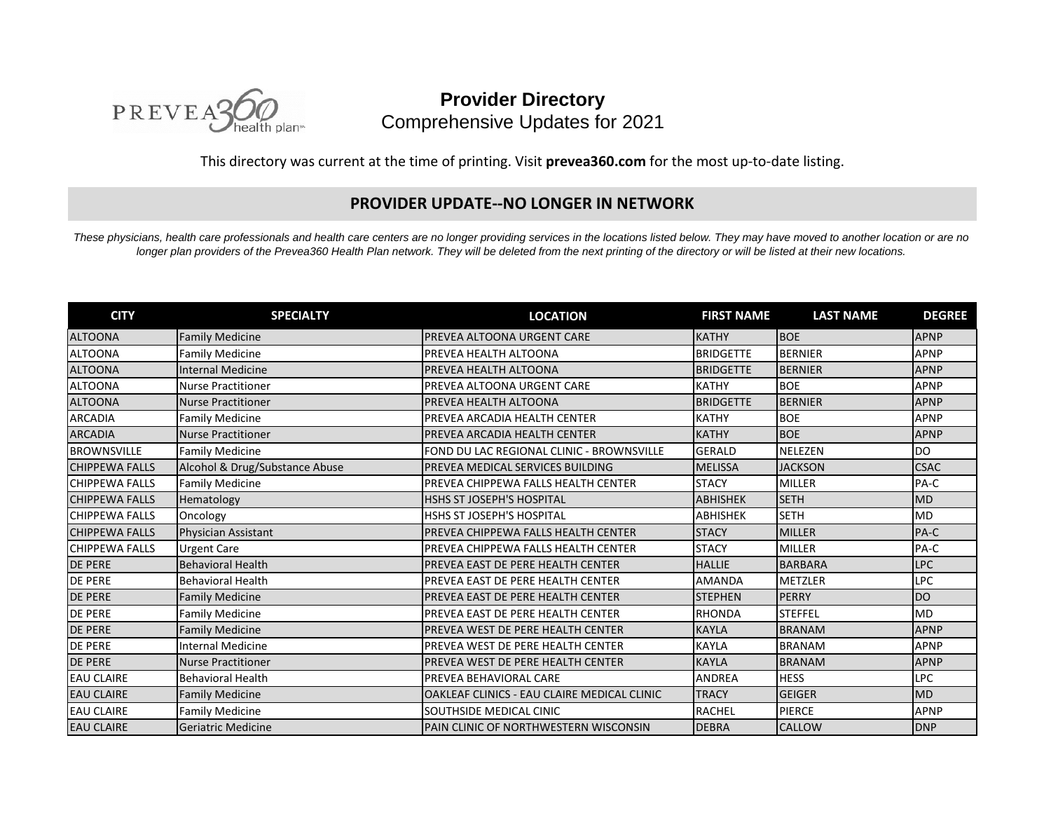

**Provider Directory** Comprehensive Updates for 2021

This directory was current at the time of printing. Visit **prevea360.com** for the most up-to-date listing.

## **PROVIDER UPDATE--NO LONGER IN NETWORK**

*These physicians, health care professionals and health care centers are no longer providing services in the locations listed below. They may have moved to another location or are no longer plan providers of the Prevea360 Health Plan network. They will be deleted from the next printing of the directory or will be listed at their new locations.*

| <b>CITY</b>           | <b>SPECIALTY</b>               | <b>LOCATION</b>                             | <b>FIRST NAME</b> | <b>LAST NAME</b> | <b>DEGREE</b> |
|-----------------------|--------------------------------|---------------------------------------------|-------------------|------------------|---------------|
| <b>ALTOONA</b>        | <b>Family Medicine</b>         | <b>PREVEA ALTOONA URGENT CARE</b>           | <b>KATHY</b>      | <b>BOE</b>       | <b>APNP</b>   |
| <b>ALTOONA</b>        | <b>Family Medicine</b>         | PREVEA HEALTH ALTOONA                       | <b>BRIDGETTE</b>  | <b>BERNIER</b>   | <b>APNP</b>   |
| <b>ALTOONA</b>        | <b>Internal Medicine</b>       | PREVEA HEALTH ALTOONA                       | <b>BRIDGETTE</b>  | <b>BERNIER</b>   | <b>APNP</b>   |
| <b>ALTOONA</b>        | <b>Nurse Practitioner</b>      | PREVEA ALTOONA URGENT CARE                  | <b>KATHY</b>      | <b>BOE</b>       | <b>APNP</b>   |
| <b>ALTOONA</b>        | Nurse Practitioner             | PREVEA HEALTH ALTOONA                       | <b>BRIDGETTE</b>  | <b>BERNIER</b>   | <b>APNP</b>   |
| <b>ARCADIA</b>        | <b>Family Medicine</b>         | PREVEA ARCADIA HEALTH CENTER                | <b>KATHY</b>      | <b>BOE</b>       | <b>APNP</b>   |
| <b>ARCADIA</b>        | Nurse Practitioner             | PREVEA ARCADIA HEALTH CENTER                | <b>KATHY</b>      | <b>BOE</b>       | <b>APNP</b>   |
| <b>BROWNSVILLE</b>    | <b>Family Medicine</b>         | FOND DU LAC REGIONAL CLINIC - BROWNSVILLE   | <b>GERALD</b>     | <b>NELEZEN</b>   | <b>DO</b>     |
| <b>CHIPPEWA FALLS</b> | Alcohol & Drug/Substance Abuse | PREVEA MEDICAL SERVICES BUILDING            | <b>MELISSA</b>    | <b>JACKSON</b>   | <b>CSAC</b>   |
| <b>CHIPPEWA FALLS</b> | <b>Family Medicine</b>         | PREVEA CHIPPEWA FALLS HEALTH CENTER         | <b>STACY</b>      | <b>MILLER</b>    | PA-C          |
| <b>CHIPPEWA FALLS</b> | Hematology                     | <b>HSHS ST JOSEPH'S HOSPITAL</b>            | <b>ABHISHEK</b>   | <b>SETH</b>      | <b>MD</b>     |
| <b>CHIPPEWA FALLS</b> | Oncology                       | HSHS ST JOSEPH'S HOSPITAL                   | <b>ABHISHEK</b>   | <b>SETH</b>      | <b>MD</b>     |
| <b>CHIPPEWA FALLS</b> | <b>Physician Assistant</b>     | PREVEA CHIPPEWA FALLS HEALTH CENTER         | <b>STACY</b>      | <b>MILLER</b>    | PA-C          |
| <b>CHIPPEWA FALLS</b> | <b>Urgent Care</b>             | PREVEA CHIPPEWA FALLS HEALTH CENTER         | <b>STACY</b>      | <b>MILLER</b>    | PA-C          |
| <b>DE PERE</b>        | <b>Behavioral Health</b>       | PREVEA EAST DE PERE HEALTH CENTER           | <b>HALLIE</b>     | <b>BARBARA</b>   | <b>LPC</b>    |
| <b>DE PERE</b>        | <b>Behavioral Health</b>       | PREVEA EAST DE PERE HEALTH CENTER           | AMANDA            | <b>METZLER</b>   | <b>LPC</b>    |
| <b>DE PERE</b>        | <b>Family Medicine</b>         | PREVEA EAST DE PERE HEALTH CENTER           | <b>STEPHEN</b>    | <b>PERRY</b>     | <b>DO</b>     |
| <b>DE PERE</b>        | <b>Family Medicine</b>         | PREVEA EAST DE PERE HEALTH CENTER           | <b>RHONDA</b>     | <b>STEFFEL</b>   | <b>MD</b>     |
| <b>DE PERE</b>        | <b>Family Medicine</b>         | PREVEA WEST DE PERE HEALTH CENTER           | <b>KAYLA</b>      | <b>BRANAM</b>    | <b>APNP</b>   |
| <b>DE PERE</b>        | <b>Internal Medicine</b>       | PREVEA WEST DE PERE HEALTH CENTER           | <b>KAYLA</b>      | <b>BRANAM</b>    | <b>APNP</b>   |
| <b>DE PERE</b>        | Nurse Practitioner             | PREVEA WEST DE PERE HEALTH CENTER           | <b>KAYLA</b>      | <b>BRANAM</b>    | <b>APNP</b>   |
| <b>EAU CLAIRE</b>     | <b>Behavioral Health</b>       | PREVEA BEHAVIORAL CARE                      | ANDREA            | <b>HESS</b>      | <b>LPC</b>    |
| <b>EAU CLAIRE</b>     | <b>Family Medicine</b>         | OAKLEAF CLINICS - EAU CLAIRE MEDICAL CLINIC | <b>TRACY</b>      | <b>GEIGER</b>    | <b>MD</b>     |
| <b>EAU CLAIRE</b>     | <b>Family Medicine</b>         | SOUTHSIDE MEDICAL CINIC                     | <b>RACHEL</b>     | <b>PIERCE</b>    | <b>APNP</b>   |
| <b>EAU CLAIRE</b>     | Geriatric Medicine             | PAIN CLINIC OF NORTHWESTERN WISCONSIN       | <b>DEBRA</b>      | CALLOW           | <b>DNP</b>    |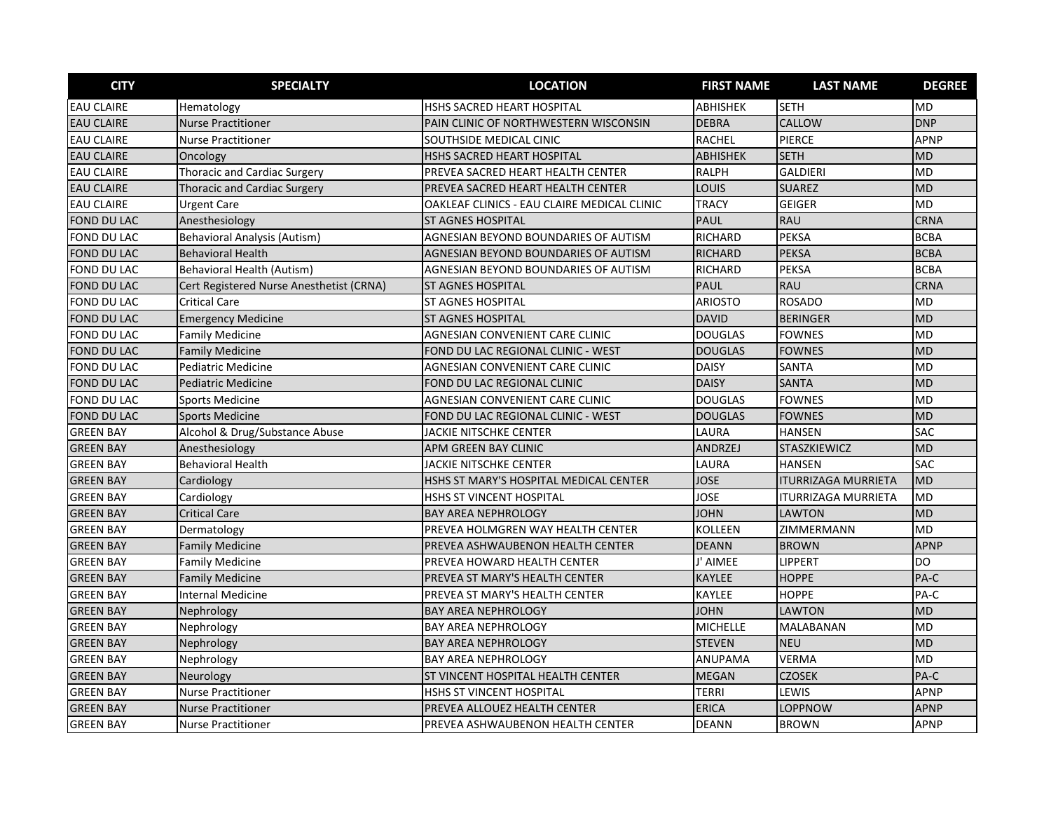| <b>CITY</b>        | <b>SPECIALTY</b>                         | <b>LOCATION</b>                             | <b>FIRST NAME</b> | <b>LAST NAME</b>           | <b>DEGREE</b> |
|--------------------|------------------------------------------|---------------------------------------------|-------------------|----------------------------|---------------|
| <b>EAU CLAIRE</b>  | Hematology                               | HSHS SACRED HEART HOSPITAL                  | <b>ABHISHEK</b>   | <b>SETH</b>                | <b>MD</b>     |
| <b>EAU CLAIRE</b>  | <b>Nurse Practitioner</b>                | PAIN CLINIC OF NORTHWESTERN WISCONSIN       | <b>DEBRA</b>      | CALLOW                     | <b>DNP</b>    |
| <b>EAU CLAIRE</b>  | <b>Nurse Practitioner</b>                | SOUTHSIDE MEDICAL CINIC                     | <b>RACHEL</b>     | <b>PIERCE</b>              | <b>APNP</b>   |
| <b>EAU CLAIRE</b>  | Oncology                                 | HSHS SACRED HEART HOSPITAL                  | ABHISHEK          | <b>SETH</b>                | <b>MD</b>     |
| <b>EAU CLAIRE</b>  | <b>Thoracic and Cardiac Surgery</b>      | PREVEA SACRED HEART HEALTH CENTER           | <b>RALPH</b>      | <b>GALDIERI</b>            | <b>MD</b>     |
| <b>EAU CLAIRE</b>  | <b>Thoracic and Cardiac Surgery</b>      | PREVEA SACRED HEART HEALTH CENTER           | LOUIS             | <b>SUAREZ</b>              | <b>MD</b>     |
| <b>EAU CLAIRE</b>  | <b>Urgent Care</b>                       | OAKLEAF CLINICS - EAU CLAIRE MEDICAL CLINIC | <b>TRACY</b>      | <b>GEIGER</b>              | <b>MD</b>     |
| <b>FOND DU LAC</b> | Anesthesiology                           | <b>ST AGNES HOSPITAL</b>                    | <b>PAUL</b>       | <b>RAU</b>                 | CRNA          |
| <b>FOND DU LAC</b> | <b>Behavioral Analysis (Autism)</b>      | AGNESIAN BEYOND BOUNDARIES OF AUTISM        | <b>RICHARD</b>    | <b>PEKSA</b>               | <b>BCBA</b>   |
| <b>FOND DU LAC</b> | <b>Behavioral Health</b>                 | AGNESIAN BEYOND BOUNDARIES OF AUTISM        | <b>RICHARD</b>    | <b>PEKSA</b>               | <b>BCBA</b>   |
| FOND DU LAC        | Behavioral Health (Autism)               | AGNESIAN BEYOND BOUNDARIES OF AUTISM        | <b>RICHARD</b>    | <b>PEKSA</b>               | <b>BCBA</b>   |
| FOND DU LAC        | Cert Registered Nurse Anesthetist (CRNA) | <b>ST AGNES HOSPITAL</b>                    | <b>PAUL</b>       | <b>RAU</b>                 | CRNA          |
| FOND DU LAC        | <b>Critical Care</b>                     | <b>ST AGNES HOSPITAL</b>                    | <b>ARIOSTO</b>    | <b>ROSADO</b>              | <b>MD</b>     |
| <b>FOND DU LAC</b> | <b>Emergency Medicine</b>                | <b>ST AGNES HOSPITAL</b>                    | <b>DAVID</b>      | <b>BERINGER</b>            | <b>MD</b>     |
| FOND DU LAC        | <b>Family Medicine</b>                   | AGNESIAN CONVENIENT CARE CLINIC             | <b>DOUGLAS</b>    | <b>FOWNES</b>              | <b>MD</b>     |
| <b>FOND DU LAC</b> | <b>Family Medicine</b>                   | FOND DU LAC REGIONAL CLINIC - WEST          | <b>DOUGLAS</b>    | <b>FOWNES</b>              | <b>MD</b>     |
| <b>FOND DU LAC</b> | <b>Pediatric Medicine</b>                | AGNESIAN CONVENIENT CARE CLINIC             | <b>DAISY</b>      | SANTA                      | <b>MD</b>     |
| <b>FOND DU LAC</b> | <b>Pediatric Medicine</b>                | FOND DU LAC REGIONAL CLINIC                 | <b>DAISY</b>      | <b>SANTA</b>               | <b>MD</b>     |
| <b>FOND DU LAC</b> | <b>Sports Medicine</b>                   | AGNESIAN CONVENIENT CARE CLINIC             | <b>DOUGLAS</b>    | <b>FOWNES</b>              | <b>MD</b>     |
| <b>FOND DU LAC</b> | <b>Sports Medicine</b>                   | FOND DU LAC REGIONAL CLINIC - WEST          | <b>DOUGLAS</b>    | <b>FOWNES</b>              | <b>MD</b>     |
| <b>GREEN BAY</b>   | Alcohol & Drug/Substance Abuse           | <b>JACKIE NITSCHKE CENTER</b>               | LAURA             | <b>HANSEN</b>              | <b>SAC</b>    |
| <b>GREEN BAY</b>   | Anesthesiology                           | APM GREEN BAY CLINIC                        | ANDRZEJ           | <b>STASZKIEWICZ</b>        | <b>MD</b>     |
| <b>GREEN BAY</b>   | <b>Behavioral Health</b>                 | <b>JACKIE NITSCHKE CENTER</b>               | LAURA             | <b>HANSEN</b>              | <b>SAC</b>    |
| <b>GREEN BAY</b>   | Cardiology                               | HSHS ST MARY'S HOSPITAL MEDICAL CENTER      | <b>JOSE</b>       | <b>ITURRIZAGA MURRIETA</b> | <b>MD</b>     |
| <b>GREEN BAY</b>   | Cardiology                               | <b>HSHS ST VINCENT HOSPITAL</b>             | JOSE              | <b>ITURRIZAGA MURRIETA</b> | <b>MD</b>     |
| <b>GREEN BAY</b>   | <b>Critical Care</b>                     | <b>BAY AREA NEPHROLOGY</b>                  | <b>JOHN</b>       | LAWTON                     | <b>MD</b>     |
| <b>GREEN BAY</b>   | Dermatology                              | PREVEA HOLMGREN WAY HEALTH CENTER           | <b>KOLLEEN</b>    | ZIMMERMANN                 | <b>MD</b>     |
| <b>GREEN BAY</b>   | <b>Family Medicine</b>                   | PREVEA ASHWAUBENON HEALTH CENTER            | <b>DEANN</b>      | <b>BROWN</b>               | <b>APNP</b>   |
| <b>GREEN BAY</b>   | <b>Family Medicine</b>                   | PREVEA HOWARD HEALTH CENTER                 | J' AIMEE          | LIPPERT                    | <b>DO</b>     |
| <b>GREEN BAY</b>   | <b>Family Medicine</b>                   | PREVEA ST MARY'S HEALTH CENTER              | <b>KAYLEE</b>     | <b>HOPPE</b>               | PA-C          |
| <b>GREEN BAY</b>   | <b>Internal Medicine</b>                 | PREVEA ST MARY'S HEALTH CENTER              | KAYLEE            | <b>HOPPE</b>               | PA-C          |
| <b>GREEN BAY</b>   | Nephrology                               | <b>BAY AREA NEPHROLOGY</b>                  | <b>JOHN</b>       | <b>LAWTON</b>              | <b>MD</b>     |
| <b>GREEN BAY</b>   | Nephrology                               | <b>BAY AREA NEPHROLOGY</b>                  | <b>MICHELLE</b>   | MALABANAN                  | <b>MD</b>     |
| <b>GREEN BAY</b>   | Nephrology                               | <b>BAY AREA NEPHROLOGY</b>                  | <b>STEVEN</b>     | <b>NEU</b>                 | <b>MD</b>     |
| <b>GREEN BAY</b>   | Nephrology                               | <b>BAY AREA NEPHROLOGY</b>                  | ANUPAMA           | <b>VERMA</b>               | <b>MD</b>     |
| <b>GREEN BAY</b>   | Neurology                                | ST VINCENT HOSPITAL HEALTH CENTER           | <b>MEGAN</b>      | <b>CZOSEK</b>              | PA-C          |
| <b>GREEN BAY</b>   | <b>Nurse Practitioner</b>                | HSHS ST VINCENT HOSPITAL                    | TERRI             | LEWIS                      | <b>APNP</b>   |
| <b>GREEN BAY</b>   | <b>Nurse Practitioner</b>                | PREVEA ALLOUEZ HEALTH CENTER                | <b>ERICA</b>      | LOPPNOW                    | <b>APNP</b>   |
| <b>GREEN BAY</b>   | <b>Nurse Practitioner</b>                | PREVEA ASHWAUBENON HEALTH CENTER            | <b>DEANN</b>      | <b>BROWN</b>               | <b>APNP</b>   |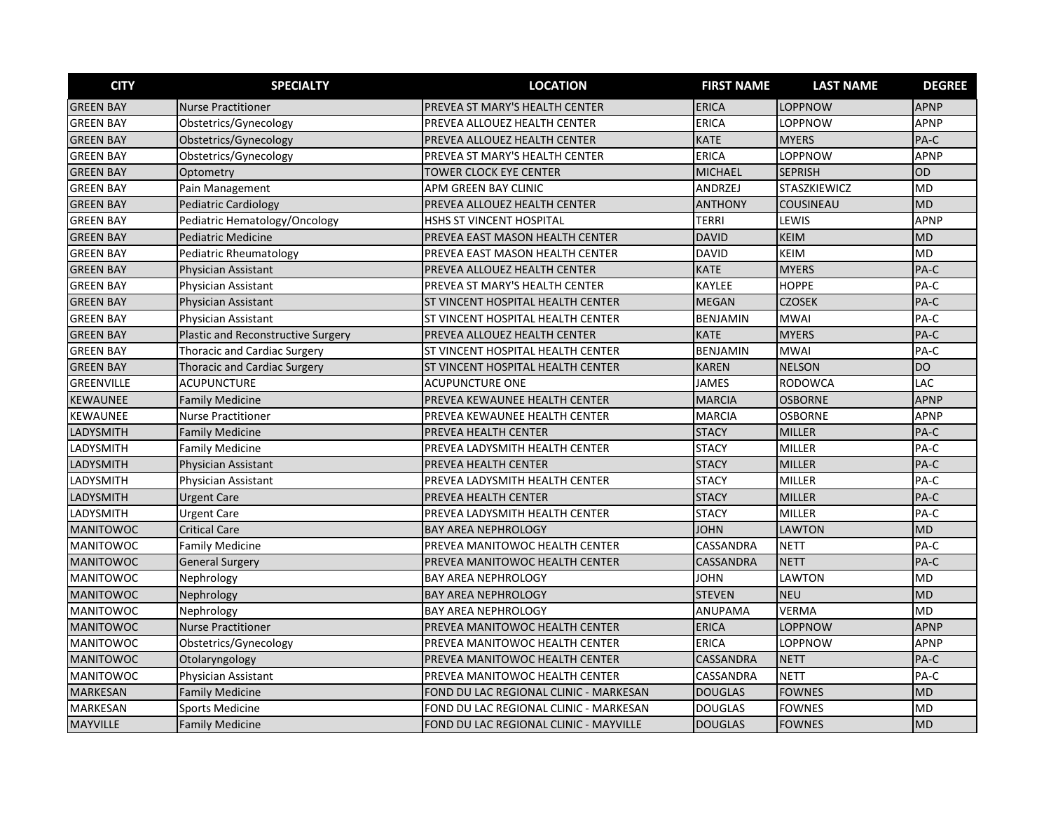| <b>CITY</b>      | <b>SPECIALTY</b>                          | <b>LOCATION</b>                          | <b>FIRST NAME</b> | <b>LAST NAME</b>    | <b>DEGREE</b> |
|------------------|-------------------------------------------|------------------------------------------|-------------------|---------------------|---------------|
| <b>GREEN BAY</b> | <b>Nurse Practitioner</b>                 | PREVEA ST MARY'S HEALTH CENTER           | <b>ERICA</b>      | <b>LOPPNOW</b>      | <b>APNP</b>   |
| <b>GREEN BAY</b> | Obstetrics/Gynecology                     | PREVEA ALLOUEZ HEALTH CENTER             | <b>ERICA</b>      | LOPPNOW             | <b>APNP</b>   |
| <b>GREEN BAY</b> | Obstetrics/Gynecology                     | PREVEA ALLOUEZ HEALTH CENTER             | <b>KATE</b>       | <b>MYERS</b>        | PA-C          |
| <b>GREEN BAY</b> | Obstetrics/Gynecology                     | PREVEA ST MARY'S HEALTH CENTER           | <b>ERICA</b>      | LOPPNOW             | <b>APNP</b>   |
| <b>GREEN BAY</b> | Optometry                                 | TOWER CLOCK EYE CENTER                   | <b>MICHAEL</b>    | <b>SEPRISH</b>      | OD            |
| <b>GREEN BAY</b> | Pain Management                           | APM GREEN BAY CLINIC                     | ANDRZEJ           | <b>STASZKIEWICZ</b> | <b>MD</b>     |
| <b>GREEN BAY</b> | <b>Pediatric Cardiology</b>               | PREVEA ALLOUEZ HEALTH CENTER             | <b>ANTHONY</b>    | COUSINEAU           | <b>MD</b>     |
| <b>GREEN BAY</b> | Pediatric Hematology/Oncology             | HSHS ST VINCENT HOSPITAL                 | <b>TERRI</b>      | LEWIS               | <b>APNP</b>   |
| <b>GREEN BAY</b> | <b>Pediatric Medicine</b>                 | PREVEA EAST MASON HEALTH CENTER          | <b>DAVID</b>      | <b>KEIM</b>         | <b>MD</b>     |
| <b>GREEN BAY</b> | <b>Pediatric Rheumatology</b>             | PREVEA EAST MASON HEALTH CENTER          | <b>DAVID</b>      | <b>KEIM</b>         | <b>MD</b>     |
| <b>GREEN BAY</b> | <b>Physician Assistant</b>                | PREVEA ALLOUEZ HEALTH CENTER             | <b>KATE</b>       | <b>MYERS</b>        | PA-C          |
| <b>GREEN BAY</b> | Physician Assistant                       | PREVEA ST MARY'S HEALTH CENTER           | KAYLEE            | <b>HOPPE</b>        | PA-C          |
| <b>GREEN BAY</b> | Physician Assistant                       | <b>ST VINCENT HOSPITAL HEALTH CENTER</b> | <b>MEGAN</b>      | <b>CZOSEK</b>       | PA-C          |
| <b>GREEN BAY</b> | Physician Assistant                       | <b>ST VINCENT HOSPITAL HEALTH CENTER</b> | <b>BENJAMIN</b>   | <b>MWAI</b>         | PA-C          |
| <b>GREEN BAY</b> | <b>Plastic and Reconstructive Surgery</b> | PREVEA ALLOUEZ HEALTH CENTER             | <b>KATE</b>       | <b>MYERS</b>        | PA-C          |
| <b>GREEN BAY</b> | <b>Thoracic and Cardiac Surgery</b>       | ST VINCENT HOSPITAL HEALTH CENTER        | <b>BENJAMIN</b>   | <b>MWAI</b>         | PA-C          |
| <b>GREEN BAY</b> | <b>Thoracic and Cardiac Surgery</b>       | ST VINCENT HOSPITAL HEALTH CENTER        | <b>KAREN</b>      | <b>NELSON</b>       | DO            |
| GREENVILLE       | <b>ACUPUNCTURE</b>                        | <b>ACUPUNCTURE ONE</b>                   | <b>JAMES</b>      | <b>RODOWCA</b>      | LAC           |
| <b>KEWAUNEE</b>  | <b>Family Medicine</b>                    | PREVEA KEWAUNEE HEALTH CENTER            | <b>MARCIA</b>     | <b>OSBORNE</b>      | <b>APNP</b>   |
| KEWAUNEE         | <b>Nurse Practitioner</b>                 | PREVEA KEWAUNEE HEALTH CENTER            | <b>MARCIA</b>     | <b>OSBORNE</b>      | <b>APNP</b>   |
| LADYSMITH        | <b>Family Medicine</b>                    | PREVEA HEALTH CENTER                     | <b>STACY</b>      | <b>MILLER</b>       | PA-C          |
| LADYSMITH        | <b>Family Medicine</b>                    | PREVEA LADYSMITH HEALTH CENTER           | <b>STACY</b>      | <b>MILLER</b>       | PA-C          |
| LADYSMITH        | Physician Assistant                       | PREVEA HEALTH CENTER                     | <b>STACY</b>      | <b>MILLER</b>       | PA-C          |
| LADYSMITH        | Physician Assistant                       | PREVEA LADYSMITH HEALTH CENTER           | <b>STACY</b>      | <b>MILLER</b>       | PA-C          |
| LADYSMITH        | <b>Urgent Care</b>                        | PREVEA HEALTH CENTER                     | <b>STACY</b>      | <b>MILLER</b>       | PA-C          |
| LADYSMITH        | <b>Urgent Care</b>                        | PREVEA LADYSMITH HEALTH CENTER           | <b>STACY</b>      | <b>MILLER</b>       | PA-C          |
| <b>MANITOWOC</b> | <b>Critical Care</b>                      | <b>BAY AREA NEPHROLOGY</b>               | <b>JOHN</b>       | <b>LAWTON</b>       | <b>MD</b>     |
| MANITOWOC        | <b>Family Medicine</b>                    | PREVEA MANITOWOC HEALTH CENTER           | CASSANDRA         | NETT                | PA-C          |
| <b>MANITOWOC</b> | <b>General Surgery</b>                    | PREVEA MANITOWOC HEALTH CENTER           | CASSANDRA         | <b>NETT</b>         | PA-C          |
| <b>MANITOWOC</b> | Nephrology                                | <b>BAY AREA NEPHROLOGY</b>               | <b>JOHN</b>       | LAWTON              | <b>MD</b>     |
| <b>MANITOWOC</b> | Nephrology                                | <b>BAY AREA NEPHROLOGY</b>               | <b>STEVEN</b>     | <b>NEU</b>          | <b>MD</b>     |
| <b>MANITOWOC</b> | Nephrology                                | <b>BAY AREA NEPHROLOGY</b>               | ANUPAMA           | VERMA               | <b>MD</b>     |
| <b>MANITOWOC</b> | <b>Nurse Practitioner</b>                 | PREVEA MANITOWOC HEALTH CENTER           | <b>ERICA</b>      | LOPPNOW             | <b>APNP</b>   |
| MANITOWOC        | Obstetrics/Gynecology                     | PREVEA MANITOWOC HEALTH CENTER           | <b>ERICA</b>      | LOPPNOW             | <b>APNP</b>   |
| <b>MANITOWOC</b> | Otolaryngology                            | PREVEA MANITOWOC HEALTH CENTER           | CASSANDRA         | <b>NETT</b>         | PA-C          |
| <b>MANITOWOC</b> | Physician Assistant                       | PREVEA MANITOWOC HEALTH CENTER           | CASSANDRA         | <b>NETT</b>         | PA-C          |
| <b>MARKESAN</b>  | <b>Family Medicine</b>                    | FOND DU LAC REGIONAL CLINIC - MARKESAN   | <b>DOUGLAS</b>    | <b>FOWNES</b>       | <b>MD</b>     |
| MARKESAN         | <b>Sports Medicine</b>                    | FOND DU LAC REGIONAL CLINIC - MARKESAN   | <b>DOUGLAS</b>    | <b>FOWNES</b>       | MD            |
| <b>MAYVILLE</b>  | <b>Family Medicine</b>                    | FOND DU LAC REGIONAL CLINIC - MAYVILLE   | <b>DOUGLAS</b>    | <b>FOWNES</b>       | <b>MD</b>     |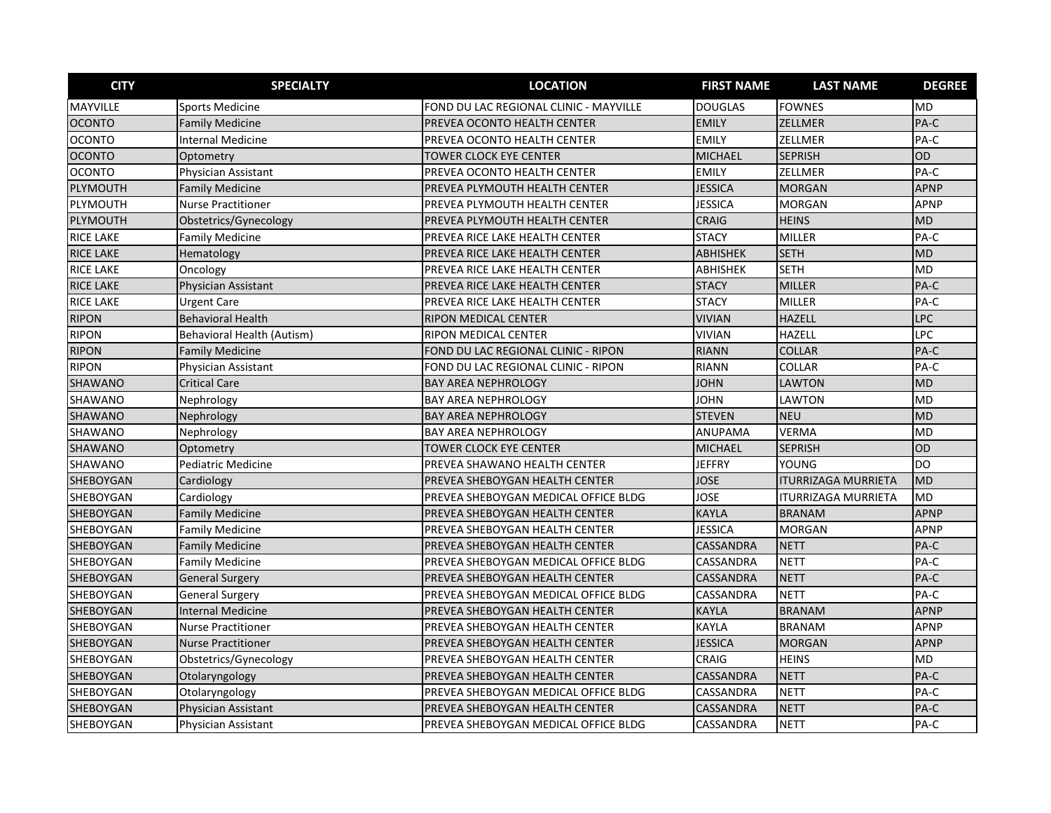| <b>CITY</b>      | <b>SPECIALTY</b>                  | <b>LOCATION</b>                        | <b>FIRST NAME</b> | <b>LAST NAME</b>           | <b>DEGREE</b> |
|------------------|-----------------------------------|----------------------------------------|-------------------|----------------------------|---------------|
| <b>MAYVILLE</b>  | <b>Sports Medicine</b>            | FOND DU LAC REGIONAL CLINIC - MAYVILLE | <b>DOUGLAS</b>    | <b>FOWNES</b>              | <b>MD</b>     |
| <b>OCONTO</b>    | <b>Family Medicine</b>            | PREVEA OCONTO HEALTH CENTER            | <b>EMILY</b>      | ZELLMER                    | PA-C          |
| <b>OCONTO</b>    | <b>Internal Medicine</b>          | PREVEA OCONTO HEALTH CENTER            | <b>EMILY</b>      | ZELLMER                    | PA-C          |
| <b>OCONTO</b>    | Optometry                         | <b>TOWER CLOCK EYE CENTER</b>          | <b>MICHAEL</b>    | <b>SEPRISH</b>             | OD            |
| <b>OCONTO</b>    | Physician Assistant               | PREVEA OCONTO HEALTH CENTER            | <b>EMILY</b>      | <b>ZELLMER</b>             | PA-C          |
| PLYMOUTH         | <b>Family Medicine</b>            | PREVEA PLYMOUTH HEALTH CENTER          | <b>JESSICA</b>    | <b>MORGAN</b>              | <b>APNP</b>   |
| PLYMOUTH         | <b>Nurse Practitioner</b>         | PREVEA PLYMOUTH HEALTH CENTER          | <b>JESSICA</b>    | <b>MORGAN</b>              | <b>APNP</b>   |
| PLYMOUTH         | Obstetrics/Gynecology             | PREVEA PLYMOUTH HEALTH CENTER          | <b>CRAIG</b>      | <b>HEINS</b>               | <b>MD</b>     |
| <b>RICE LAKE</b> | <b>Family Medicine</b>            | PREVEA RICE LAKE HEALTH CENTER         | <b>STACY</b>      | <b>MILLER</b>              | PA-C          |
| <b>RICE LAKE</b> | Hematology                        | PREVEA RICE LAKE HEALTH CENTER         | <b>ABHISHEK</b>   | <b>SETH</b>                | <b>MD</b>     |
| <b>RICE LAKE</b> | Oncology                          | PREVEA RICE LAKE HEALTH CENTER         | ABHISHEK          | <b>SETH</b>                | MD            |
| <b>RICE LAKE</b> | Physician Assistant               | PREVEA RICE LAKE HEALTH CENTER         | <b>STACY</b>      | MILLER                     | PA-C          |
| <b>RICE LAKE</b> | <b>Urgent Care</b>                | PREVEA RICE LAKE HEALTH CENTER         | <b>STACY</b>      | <b>MILLER</b>              | PA-C          |
| <b>RIPON</b>     | <b>Behavioral Health</b>          | <b>RIPON MEDICAL CENTER</b>            | <b>VIVIAN</b>     | <b>HAZELL</b>              | <b>LPC</b>    |
| <b>RIPON</b>     | <b>Behavioral Health (Autism)</b> | RIPON MEDICAL CENTER                   | <b>VIVIAN</b>     | <b>HAZELL</b>              | LPC           |
| <b>RIPON</b>     | <b>Family Medicine</b>            | FOND DU LAC REGIONAL CLINIC - RIPON    | <b>RIANN</b>      | <b>COLLAR</b>              | PA-C          |
| <b>RIPON</b>     | Physician Assistant               | FOND DU LAC REGIONAL CLINIC - RIPON    | <b>RIANN</b>      | COLLAR                     | PA-C          |
| SHAWANO          | <b>Critical Care</b>              | <b>BAY AREA NEPHROLOGY</b>             | <b>JOHN</b>       | LAWTON                     | <b>MD</b>     |
| SHAWANO          | Nephrology                        | <b>BAY AREA NEPHROLOGY</b>             | JOHN              | LAWTON                     | <b>MD</b>     |
| SHAWANO          | Nephrology                        | <b>BAY AREA NEPHROLOGY</b>             | <b>STEVEN</b>     | <b>NEU</b>                 | <b>MD</b>     |
| SHAWANO          | Nephrology                        | <b>BAY AREA NEPHROLOGY</b>             | <b>ANUPAMA</b>    | <b>VERMA</b>               | <b>MD</b>     |
| <b>SHAWANO</b>   | Optometry                         | TOWER CLOCK EYE CENTER                 | <b>MICHAEL</b>    | <b>SEPRISH</b>             | OD            |
| SHAWANO          | <b>Pediatric Medicine</b>         | PREVEA SHAWANO HEALTH CENTER           | <b>JEFFRY</b>     | YOUNG                      | <b>DO</b>     |
| SHEBOYGAN        | Cardiology                        | PREVEA SHEBOYGAN HEALTH CENTER         | <b>JOSE</b>       | <b>ITURRIZAGA MURRIETA</b> | <b>MD</b>     |
| SHEBOYGAN        | Cardiology                        | PREVEA SHEBOYGAN MEDICAL OFFICE BLDG   | JOSE              | <b>ITURRIZAGA MURRIETA</b> | <b>MD</b>     |
| SHEBOYGAN        | <b>Family Medicine</b>            | PREVEA SHEBOYGAN HEALTH CENTER         | <b>KAYLA</b>      | <b>BRANAM</b>              | <b>APNP</b>   |
| SHEBOYGAN        | <b>Family Medicine</b>            | PREVEA SHEBOYGAN HEALTH CENTER         | <b>JESSICA</b>    | <b>MORGAN</b>              | <b>APNP</b>   |
| SHEBOYGAN        | <b>Family Medicine</b>            | PREVEA SHEBOYGAN HEALTH CENTER         | <b>CASSANDRA</b>  | <b>NETT</b>                | PA-C          |
| SHEBOYGAN        | <b>Family Medicine</b>            | PREVEA SHEBOYGAN MEDICAL OFFICE BLDG   | CASSANDRA         | <b>NETT</b>                | PA-C          |
| SHEBOYGAN        | <b>General Surgery</b>            | PREVEA SHEBOYGAN HEALTH CENTER         | CASSANDRA         | <b>NETT</b>                | PA-C          |
| SHEBOYGAN        | <b>General Surgery</b>            | PREVEA SHEBOYGAN MEDICAL OFFICE BLDG   | CASSANDRA         | <b>NETT</b>                | PA-C          |
| SHEBOYGAN        | <b>Internal Medicine</b>          | PREVEA SHEBOYGAN HEALTH CENTER         | <b>KAYLA</b>      | <b>BRANAM</b>              | <b>APNP</b>   |
| SHEBOYGAN        | <b>Nurse Practitioner</b>         | PREVEA SHEBOYGAN HEALTH CENTER         | <b>KAYLA</b>      | <b>BRANAM</b>              | <b>APNP</b>   |
| <b>SHEBOYGAN</b> | <b>Nurse Practitioner</b>         | PREVEA SHEBOYGAN HEALTH CENTER         | <b>JESSICA</b>    | <b>MORGAN</b>              | <b>APNP</b>   |
| SHEBOYGAN        | Obstetrics/Gynecology             | PREVEA SHEBOYGAN HEALTH CENTER         | CRAIG             | <b>HEINS</b>               | <b>MD</b>     |
| SHEBOYGAN        | Otolaryngology                    | PREVEA SHEBOYGAN HEALTH CENTER         | <b>CASSANDRA</b>  | <b>NETT</b>                | PA-C          |
| SHEBOYGAN        | Otolaryngology                    | PREVEA SHEBOYGAN MEDICAL OFFICE BLDG   | CASSANDRA         | <b>NETT</b>                | PA-C          |
| SHEBOYGAN        | Physician Assistant               | PREVEA SHEBOYGAN HEALTH CENTER         | CASSANDRA         | <b>NETT</b>                | PA-C          |
| SHEBOYGAN        | Physician Assistant               | PREVEA SHEBOYGAN MEDICAL OFFICE BLDG   | CASSANDRA         | <b>NETT</b>                | PA-C          |